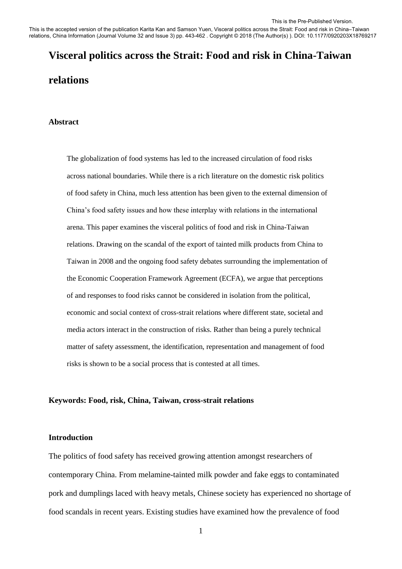This is the accepted version of the publication Karita Kan and Samson Yuen, Visceral politics across the Strait: Food and risk in China–Taiwan relations, China Information (Journal Volume 32 and Issue 3) pp. 443-462 . Copyright © 2018 (The Author(s) ). DOI: 10.1177/0920203X18769217

# **Visceral politics across the Strait: Food and risk in China-Taiwan relations**

#### **Abstract**

The globalization of food systems has led to the increased circulation of food risks across national boundaries. While there is a rich literature on the domestic risk politics of food safety in China, much less attention has been given to the external dimension of China's food safety issues and how these interplay with relations in the international arena. This paper examines the visceral politics of food and risk in China-Taiwan relations. Drawing on the scandal of the export of tainted milk products from China to Taiwan in 2008 and the ongoing food safety debates surrounding the implementation of the Economic Cooperation Framework Agreement (ECFA), we argue that perceptions of and responses to food risks cannot be considered in isolation from the political, economic and social context of cross-strait relations where different state, societal and media actors interact in the construction of risks. Rather than being a purely technical matter of safety assessment, the identification, representation and management of food risks is shown to be a social process that is contested at all times.

#### **Keywords: Food, risk, China, Taiwan, cross-strait relations**

#### **Introduction**

The politics of food safety has received growing attention amongst researchers of contemporary China. From melamine-tainted milk powder and fake eggs to contaminated pork and dumplings laced with heavy metals, Chinese society has experienced no shortage of food scandals in recent years. Existing studies have examined how the prevalence of food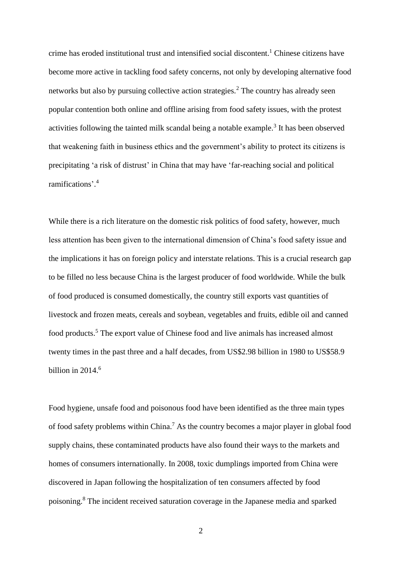crime has eroded institutional trust and intensified social discontent. <sup>1</sup> Chinese citizens have become more active in tackling food safety concerns, not only by developing alternative food networks but also by pursuing collective action strategies.<sup>2</sup> The country has already seen popular contention both online and offline arising from food safety issues, with the protest activities following the tainted milk scandal being a notable example.<sup>3</sup> It has been observed that weakening faith in business ethics and the government's ability to protect its citizens is precipitating 'a risk of distrust' in China that may have 'far-reaching social and political ramifications'. 4

While there is a rich literature on the domestic risk politics of food safety, however, much less attention has been given to the international dimension of China's food safety issue and the implications it has on foreign policy and interstate relations. This is a crucial research gap to be filled no less because China is the largest producer of food worldwide. While the bulk of food produced is consumed domestically, the country still exports vast quantities of livestock and frozen meats, cereals and soybean, vegetables and fruits, edible oil and canned food products.<sup>5</sup> The export value of Chinese food and live animals has increased almost twenty times in the past three and a half decades, from US\$2.98 billion in 1980 to US\$58.9 billion in  $2014<sup>6</sup>$ 

Food hygiene, unsafe food and poisonous food have been identified as the three main types of food safety problems within China.<sup>7</sup> As the country becomes a major player in global food supply chains, these contaminated products have also found their ways to the markets and homes of consumers internationally. In 2008, toxic dumplings imported from China were discovered in Japan following the hospitalization of ten consumers affected by food poisoning.<sup>8</sup> The incident received saturation coverage in the Japanese media and sparked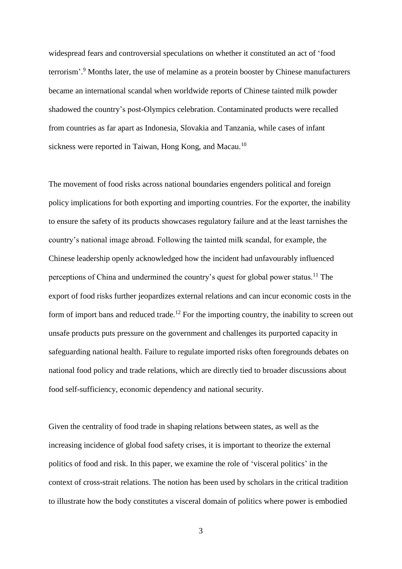widespread fears and controversial speculations on whether it constituted an act of 'food terrorism'.<sup>9</sup> Months later, the use of melamine as a protein booster by Chinese manufacturers became an international scandal when worldwide reports of Chinese tainted milk powder shadowed the country's post-Olympics celebration. Contaminated products were recalled from countries as far apart as Indonesia, Slovakia and Tanzania, while cases of infant sickness were reported in Taiwan, Hong Kong, and Macau.<sup>10</sup>

The movement of food risks across national boundaries engenders political and foreign policy implications for both exporting and importing countries. For the exporter, the inability to ensure the safety of its products showcases regulatory failure and at the least tarnishes the country's national image abroad. Following the tainted milk scandal, for example, the Chinese leadership openly acknowledged how the incident had unfavourably influenced perceptions of China and undermined the country's quest for global power status.<sup>11</sup> The export of food risks further jeopardizes external relations and can incur economic costs in the form of import bans and reduced trade.<sup>12</sup> For the importing country, the inability to screen out unsafe products puts pressure on the government and challenges its purported capacity in safeguarding national health. Failure to regulate imported risks often foregrounds debates on national food policy and trade relations, which are directly tied to broader discussions about food self-sufficiency, economic dependency and national security.

Given the centrality of food trade in shaping relations between states, as well as the increasing incidence of global food safety crises, it is important to theorize the external politics of food and risk. In this paper, we examine the role of 'visceral politics' in the context of cross-strait relations. The notion has been used by scholars in the critical tradition to illustrate how the body constitutes a visceral domain of politics where power is embodied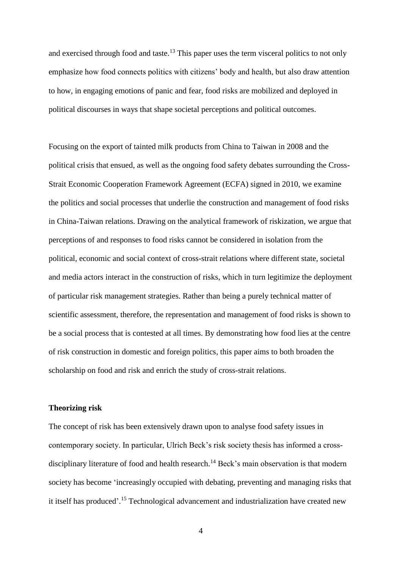and exercised through food and taste.<sup>13</sup> This paper uses the term visceral politics to not only emphasize how food connects politics with citizens' body and health, but also draw attention to how, in engaging emotions of panic and fear, food risks are mobilized and deployed in political discourses in ways that shape societal perceptions and political outcomes.

Focusing on the export of tainted milk products from China to Taiwan in 2008 and the political crisis that ensued, as well as the ongoing food safety debates surrounding the Cross-Strait Economic Cooperation Framework Agreement (ECFA) signed in 2010, we examine the politics and social processes that underlie the construction and management of food risks in China-Taiwan relations. Drawing on the analytical framework of riskization, we argue that perceptions of and responses to food risks cannot be considered in isolation from the political, economic and social context of cross-strait relations where different state, societal and media actors interact in the construction of risks, which in turn legitimize the deployment of particular risk management strategies. Rather than being a purely technical matter of scientific assessment, therefore, the representation and management of food risks is shown to be a social process that is contested at all times. By demonstrating how food lies at the centre of risk construction in domestic and foreign politics, this paper aims to both broaden the scholarship on food and risk and enrich the study of cross-strait relations.

# **Theorizing risk**

The concept of risk has been extensively drawn upon to analyse food safety issues in contemporary society. In particular, Ulrich Beck's risk society thesis has informed a crossdisciplinary literature of food and health research.<sup>14</sup> Beck's main observation is that modern society has become 'increasingly occupied with debating, preventing and managing risks that it itself has produced'. <sup>15</sup> Technological advancement and industrialization have created new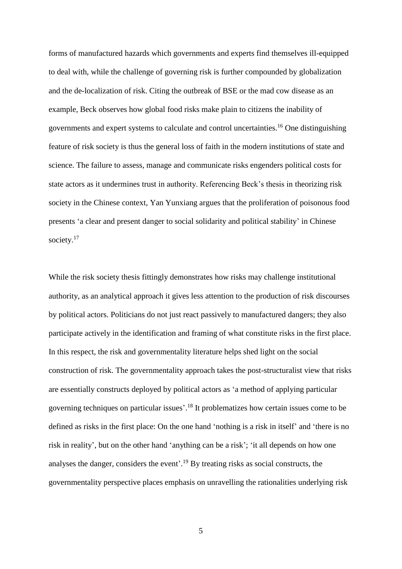forms of manufactured hazards which governments and experts find themselves ill-equipped to deal with, while the challenge of governing risk is further compounded by globalization and the de-localization of risk. Citing the outbreak of BSE or the mad cow disease as an example, Beck observes how global food risks make plain to citizens the inability of governments and expert systems to calculate and control uncertainties.<sup>16</sup> One distinguishing feature of risk society is thus the general loss of faith in the modern institutions of state and science. The failure to assess, manage and communicate risks engenders political costs for state actors as it undermines trust in authority. Referencing Beck's thesis in theorizing risk society in the Chinese context, Yan Yunxiang argues that the proliferation of poisonous food presents 'a clear and present danger to social solidarity and political stability' in Chinese society.<sup>17</sup>

While the risk society thesis fittingly demonstrates how risks may challenge institutional authority, as an analytical approach it gives less attention to the production of risk discourses by political actors. Politicians do not just react passively to manufactured dangers; they also participate actively in the identification and framing of what constitute risks in the first place. In this respect, the risk and governmentality literature helps shed light on the social construction of risk. The governmentality approach takes the post-structuralist view that risks are essentially constructs deployed by political actors as 'a method of applying particular governing techniques on particular issues'. <sup>18</sup> It problematizes how certain issues come to be defined as risks in the first place: On the one hand 'nothing is a risk in itself' and 'there is no risk in reality', but on the other hand 'anything can be a risk'; 'it all depends on how one analyses the danger, considers the event'. <sup>19</sup> By treating risks as social constructs, the governmentality perspective places emphasis on unravelling the rationalities underlying risk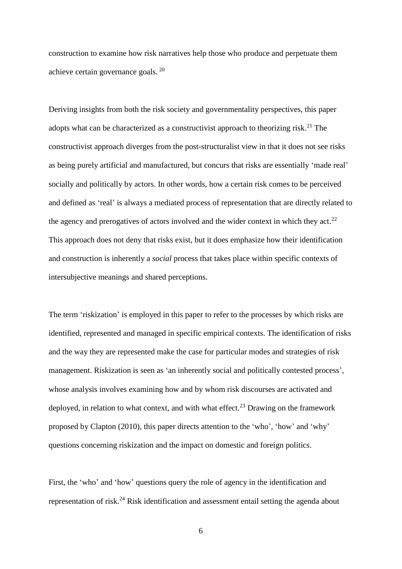construction to examine how risk narratives help those who produce and perpetuate them achieve certain governance goals. <sup>20</sup>

Deriving insights from both the risk society and governmentality perspectives, this paper adopts what can be characterized as a constructivist approach to theorizing risk.<sup>21</sup> The constructivist approach diverges from the post-structuralist view in that it does not see risks as being purely artificial and manufactured, but concurs that risks are essentially 'made real' socially and politically by actors. In other words, how a certain risk comes to be perceived and defined as 'real' is always a mediated process of representation that are directly related to the agency and prerogatives of actors involved and the wider context in which they act.<sup>22</sup> This approach does not deny that risks exist, but it does emphasize how their identification and construction is inherently a *social* process that takes place within specific contexts of intersubjective meanings and shared perceptions.

The term 'riskization' is employed in this paper to refer to the processes by which risks are identified, represented and managed in specific empirical contexts. The identification of risks and the way they are represented make the case for particular modes and strategies of risk management. Riskization is seen as 'an inherently social and politically contested process', whose analysis involves examining how and by whom risk discourses are activated and deployed, in relation to what context, and with what effect.<sup>23</sup> Drawing on the framework proposed by Clapton (2010), this paper directs attention to the 'who', 'how' and 'why' questions concerning riskization and the impact on domestic and foreign politics.

First, the 'who' and 'how' questions query the role of agency in the identification and representation of risk.<sup>24</sup> Risk identification and assessment entail setting the agenda about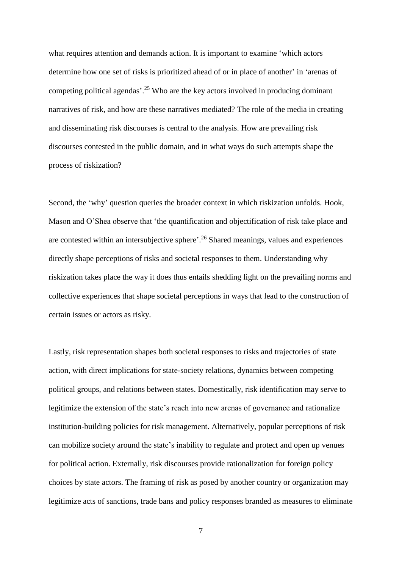what requires attention and demands action. It is important to examine 'which actors determine how one set of risks is prioritized ahead of or in place of another' in 'arenas of competing political agendas'.<sup>25</sup> Who are the key actors involved in producing dominant narratives of risk, and how are these narratives mediated? The role of the media in creating and disseminating risk discourses is central to the analysis. How are prevailing risk discourses contested in the public domain, and in what ways do such attempts shape the process of riskization?

Second, the 'why' question queries the broader context in which riskization unfolds. Hook, Mason and O'Shea observe that 'the quantification and objectification of risk take place and are contested within an intersubjective sphere'.<sup>26</sup> Shared meanings, values and experiences directly shape perceptions of risks and societal responses to them. Understanding why riskization takes place the way it does thus entails shedding light on the prevailing norms and collective experiences that shape societal perceptions in ways that lead to the construction of certain issues or actors as risky.

Lastly, risk representation shapes both societal responses to risks and trajectories of state action, with direct implications for state-society relations, dynamics between competing political groups, and relations between states. Domestically, risk identification may serve to legitimize the extension of the state's reach into new arenas of governance and rationalize institution-building policies for risk management. Alternatively, popular perceptions of risk can mobilize society around the state's inability to regulate and protect and open up venues for political action. Externally, risk discourses provide rationalization for foreign policy choices by state actors. The framing of risk as posed by another country or organization may legitimize acts of sanctions, trade bans and policy responses branded as measures to eliminate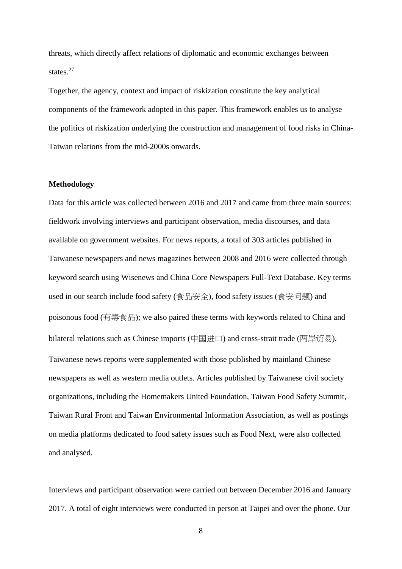threats, which directly affect relations of diplomatic and economic exchanges between states.<sup>27</sup>

Together, the agency, context and impact of riskization constitute the key analytical components of the framework adopted in this paper. This framework enables us to analyse the politics of riskization underlying the construction and management of food risks in China-Taiwan relations from the mid-2000s onwards.

### **Methodology**

Data for this article was collected between 2016 and 2017 and came from three main sources: fieldwork involving interviews and participant observation, media discourses, and data available on government websites. For news reports, a total of 303 articles published in Taiwanese newspapers and news magazines between 2008 and 2016 were collected through keyword search using Wisenews and China Core Newspapers Full-Text Database. Key terms used in our search include food safety (食品安全), food safety issues (食安问题) and poisonous food (有毒食品); we also paired these terms with keywords related to China and bilateral relations such as Chinese imports (中国进口) and cross-strait trade (两岸贸易). Taiwanese news reports were supplemented with those published by mainland Chinese newspapers as well as western media outlets. Articles published by Taiwanese civil society organizations, including the Homemakers United Foundation, Taiwan Food Safety Summit, Taiwan Rural Front and Taiwan Environmental Information Association, as well as postings on media platforms dedicated to food safety issues such as Food Next, were also collected and analysed.

Interviews and participant observation were carried out between December 2016 and January 2017. A total of eight interviews were conducted in person at Taipei and over the phone. Our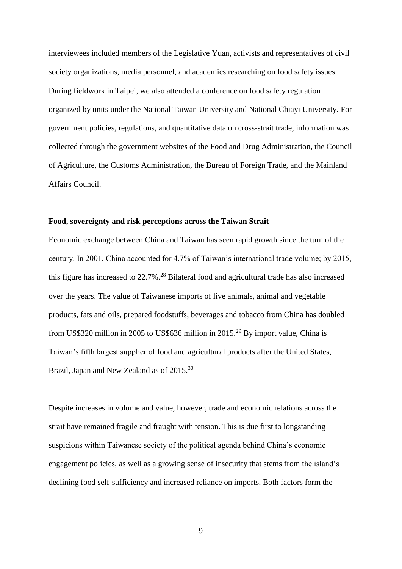interviewees included members of the Legislative Yuan, activists and representatives of civil society organizations, media personnel, and academics researching on food safety issues. During fieldwork in Taipei, we also attended a conference on food safety regulation organized by units under the National Taiwan University and National Chiayi University. For government policies, regulations, and quantitative data on cross-strait trade, information was collected through the government websites of the Food and Drug Administration, the Council of Agriculture, the Customs Administration, the Bureau of Foreign Trade, and the Mainland Affairs Council.

# **Food, sovereignty and risk perceptions across the Taiwan Strait**

Economic exchange between China and Taiwan has seen rapid growth since the turn of the century. In 2001, China accounted for 4.7% of Taiwan's international trade volume; by 2015, this figure has increased to 22.7%.<sup>28</sup> Bilateral food and agricultural trade has also increased over the years. The value of Taiwanese imports of live animals, animal and vegetable products, fats and oils, prepared foodstuffs, beverages and tobacco from China has doubled from US\$320 million in 2005 to US\$636 million in 2015.<sup>29</sup> By import value, China is Taiwan's fifth largest supplier of food and agricultural products after the United States, Brazil, Japan and New Zealand as of 2015.<sup>30</sup>

Despite increases in volume and value, however, trade and economic relations across the strait have remained fragile and fraught with tension. This is due first to longstanding suspicions within Taiwanese society of the political agenda behind China's economic engagement policies, as well as a growing sense of insecurity that stems from the island's declining food self-sufficiency and increased reliance on imports. Both factors form the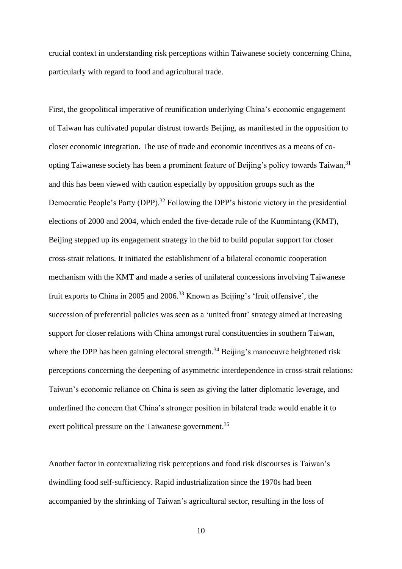crucial context in understanding risk perceptions within Taiwanese society concerning China, particularly with regard to food and agricultural trade.

First, the geopolitical imperative of reunification underlying China's economic engagement of Taiwan has cultivated popular distrust towards Beijing, as manifested in the opposition to closer economic integration. The use of trade and economic incentives as a means of coopting Taiwanese society has been a prominent feature of Beijing's policy towards Taiwan,<sup>31</sup> and this has been viewed with caution especially by opposition groups such as the Democratic People's Party (DPP).<sup>32</sup> Following the DPP's historic victory in the presidential elections of 2000 and 2004, which ended the five-decade rule of the Kuomintang (KMT), Beijing stepped up its engagement strategy in the bid to build popular support for closer cross-strait relations. It initiated the establishment of a bilateral economic cooperation mechanism with the KMT and made a series of unilateral concessions involving Taiwanese fruit exports to China in 2005 and 2006.<sup>33</sup> Known as Beijing's 'fruit offensive', the succession of preferential policies was seen as a 'united front' strategy aimed at increasing support for closer relations with China amongst rural constituencies in southern Taiwan, where the DPP has been gaining electoral strength.<sup>34</sup> Beijing's manoeuvre heightened risk perceptions concerning the deepening of asymmetric interdependence in cross-strait relations: Taiwan's economic reliance on China is seen as giving the latter diplomatic leverage, and underlined the concern that China's stronger position in bilateral trade would enable it to exert political pressure on the Taiwanese government.<sup>35</sup>

Another factor in contextualizing risk perceptions and food risk discourses is Taiwan's dwindling food self-sufficiency. Rapid industrialization since the 1970s had been accompanied by the shrinking of Taiwan's agricultural sector, resulting in the loss of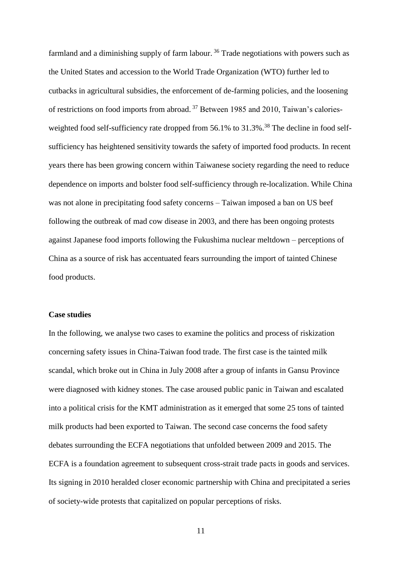farmland and a diminishing supply of farm labour.<sup>36</sup> Trade negotiations with powers such as the United States and accession to the World Trade Organization (WTO) further led to cutbacks in agricultural subsidies, the enforcement of de-farming policies, and the loosening of restrictions on food imports from abroad. <sup>37</sup> Between 1985 and 2010, Taiwan's caloriesweighted food self-sufficiency rate dropped from 56.1% to 31.3%.<sup>38</sup> The decline in food selfsufficiency has heightened sensitivity towards the safety of imported food products. In recent years there has been growing concern within Taiwanese society regarding the need to reduce dependence on imports and bolster food self-sufficiency through re-localization. While China was not alone in precipitating food safety concerns – Taiwan imposed a ban on US beef following the outbreak of mad cow disease in 2003, and there has been ongoing protests against Japanese food imports following the Fukushima nuclear meltdown – perceptions of China as a source of risk has accentuated fears surrounding the import of tainted Chinese food products.

### **Case studies**

In the following, we analyse two cases to examine the politics and process of riskization concerning safety issues in China-Taiwan food trade. The first case is the tainted milk scandal, which broke out in China in July 2008 after a group of infants in Gansu Province were diagnosed with kidney stones. The case aroused public panic in Taiwan and escalated into a political crisis for the KMT administration as it emerged that some 25 tons of tainted milk products had been exported to Taiwan. The second case concerns the food safety debates surrounding the ECFA negotiations that unfolded between 2009 and 2015. The ECFA is a foundation agreement to subsequent cross-strait trade pacts in goods and services. Its signing in 2010 heralded closer economic partnership with China and precipitated a series of society-wide protests that capitalized on popular perceptions of risks.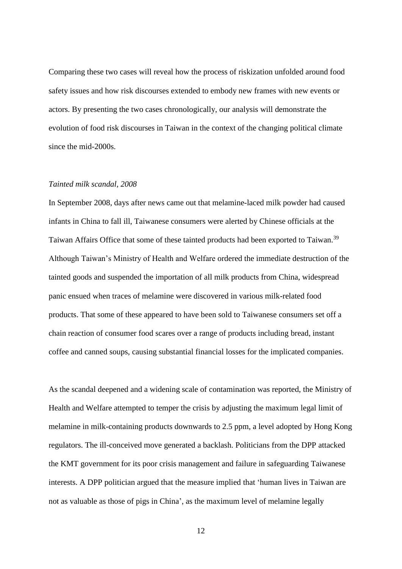Comparing these two cases will reveal how the process of riskization unfolded around food safety issues and how risk discourses extended to embody new frames with new events or actors. By presenting the two cases chronologically, our analysis will demonstrate the evolution of food risk discourses in Taiwan in the context of the changing political climate since the mid-2000s.

#### *Tainted milk scandal, 2008*

In September 2008, days after news came out that melamine-laced milk powder had caused infants in China to fall ill, Taiwanese consumers were alerted by Chinese officials at the Taiwan Affairs Office that some of these tainted products had been exported to Taiwan.<sup>39</sup> Although Taiwan's Ministry of Health and Welfare ordered the immediate destruction of the tainted goods and suspended the importation of all milk products from China, widespread panic ensued when traces of melamine were discovered in various milk-related food products. That some of these appeared to have been sold to Taiwanese consumers set off a chain reaction of consumer food scares over a range of products including bread, instant coffee and canned soups, causing substantial financial losses for the implicated companies.

As the scandal deepened and a widening scale of contamination was reported, the Ministry of Health and Welfare attempted to temper the crisis by adjusting the maximum legal limit of melamine in milk-containing products downwards to 2.5 ppm, a level adopted by Hong Kong regulators. The ill-conceived move generated a backlash. Politicians from the DPP attacked the KMT government for its poor crisis management and failure in safeguarding Taiwanese interests. A DPP politician argued that the measure implied that 'human lives in Taiwan are not as valuable as those of pigs in China', as the maximum level of melamine legally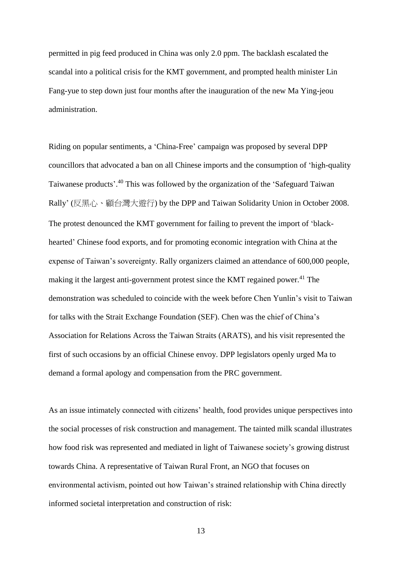permitted in pig feed produced in China was only 2.0 ppm. The backlash escalated the scandal into a political crisis for the KMT government, and prompted health minister Lin Fang-yue to step down just four months after the inauguration of the new Ma Ying-jeou administration.

Riding on popular sentiments, a 'China-Free' campaign was proposed by several DPP councillors that advocated a ban on all Chinese imports and the consumption of 'high-quality Taiwanese products'.<sup>40</sup> This was followed by the organization of the 'Safeguard Taiwan Rally' (反黑心、顧台灣大遊行) by the DPP and Taiwan Solidarity Union in October 2008. The protest denounced the KMT government for failing to prevent the import of 'blackhearted' Chinese food exports, and for promoting economic integration with China at the expense of Taiwan's sovereignty. Rally organizers claimed an attendance of 600,000 people, making it the largest anti-government protest since the KMT regained power.<sup>41</sup> The demonstration was scheduled to coincide with the week before Chen Yunlin's visit to Taiwan for talks with the Strait Exchange Foundation (SEF). Chen was the chief of China's Association for Relations Across the Taiwan Straits (ARATS), and his visit represented the first of such occasions by an official Chinese envoy. DPP legislators openly urged Ma to demand a formal apology and compensation from the PRC government.

As an issue intimately connected with citizens' health, food provides unique perspectives into the social processes of risk construction and management. The tainted milk scandal illustrates how food risk was represented and mediated in light of Taiwanese society's growing distrust towards China. A representative of Taiwan Rural Front, an NGO that focuses on environmental activism, pointed out how Taiwan's strained relationship with China directly informed societal interpretation and construction of risk: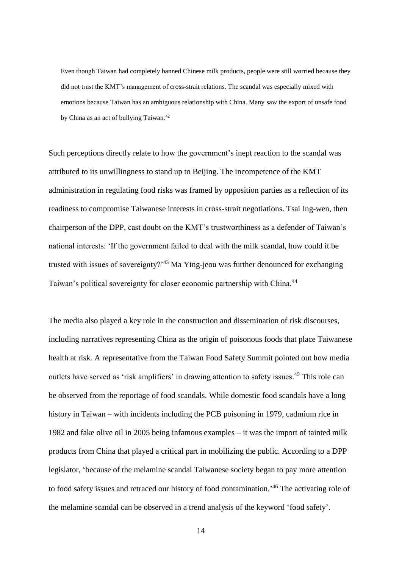Even though Taiwan had completely banned Chinese milk products, people were still worried because they did not trust the KMT's management of cross-strait relations. The scandal was especially mixed with emotions because Taiwan has an ambiguous relationship with China. Many saw the export of unsafe food by China as an act of bullying Taiwan.<sup>42</sup>

Such perceptions directly relate to how the government's inept reaction to the scandal was attributed to its unwillingness to stand up to Beijing. The incompetence of the KMT administration in regulating food risks was framed by opposition parties as a reflection of its readiness to compromise Taiwanese interests in cross-strait negotiations. Tsai Ing-wen, then chairperson of the DPP, cast doubt on the KMT's trustworthiness as a defender of Taiwan's national interests: 'If the government failed to deal with the milk scandal, how could it be trusted with issues of sovereignty?<sup>43</sup> Ma Ying-jeou was further denounced for exchanging Taiwan's political sovereignty for closer economic partnership with China.<sup>44</sup>

The media also played a key role in the construction and dissemination of risk discourses, including narratives representing China as the origin of poisonous foods that place Taiwanese health at risk. A representative from the Taiwan Food Safety Summit pointed out how media outlets have served as 'risk amplifiers' in drawing attention to safety issues.<sup>45</sup> This role can be observed from the reportage of food scandals. While domestic food scandals have a long history in Taiwan – with incidents including the PCB poisoning in 1979, cadmium rice in 1982 and fake olive oil in 2005 being infamous examples – it was the import of tainted milk products from China that played a critical part in mobilizing the public. According to a DPP legislator, 'because of the melamine scandal Taiwanese society began to pay more attention to food safety issues and retraced our history of food contamination.' <sup>46</sup> The activating role of the melamine scandal can be observed in a trend analysis of the keyword 'food safety'.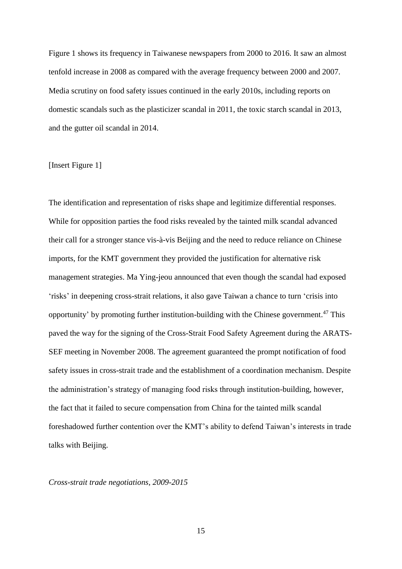Figure 1 shows its frequency in Taiwanese newspapers from 2000 to 2016. It saw an almost tenfold increase in 2008 as compared with the average frequency between 2000 and 2007. Media scrutiny on food safety issues continued in the early 2010s, including reports on domestic scandals such as the plasticizer scandal in 2011, the toxic starch scandal in 2013, and the gutter oil scandal in 2014.

# [Insert Figure 1]

The identification and representation of risks shape and legitimize differential responses. While for opposition parties the food risks revealed by the tainted milk scandal advanced their call for a stronger stance vis-à-vis Beijing and the need to reduce reliance on Chinese imports, for the KMT government they provided the justification for alternative risk management strategies. Ma Ying-jeou announced that even though the scandal had exposed 'risks' in deepening cross-strait relations, it also gave Taiwan a chance to turn 'crisis into opportunity' by promoting further institution-building with the Chinese government. <sup>47</sup> This paved the way for the signing of the Cross-Strait Food Safety Agreement during the ARATS-SEF meeting in November 2008. The agreement guaranteed the prompt notification of food safety issues in cross-strait trade and the establishment of a coordination mechanism. Despite the administration's strategy of managing food risks through institution-building, however, the fact that it failed to secure compensation from China for the tainted milk scandal foreshadowed further contention over the KMT's ability to defend Taiwan's interests in trade talks with Beijing.

# *Cross-strait trade negotiations, 2009-2015*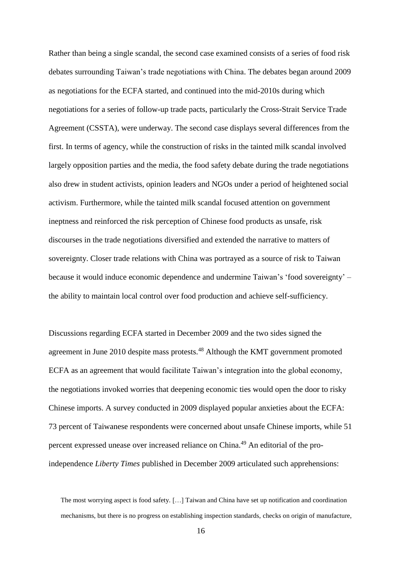Rather than being a single scandal, the second case examined consists of a series of food risk debates surrounding Taiwan's trade negotiations with China. The debates began around 2009 as negotiations for the ECFA started, and continued into the mid-2010s during which negotiations for a series of follow-up trade pacts, particularly the Cross-Strait Service Trade Agreement (CSSTA), were underway. The second case displays several differences from the first. In terms of agency, while the construction of risks in the tainted milk scandal involved largely opposition parties and the media, the food safety debate during the trade negotiations also drew in student activists, opinion leaders and NGOs under a period of heightened social activism. Furthermore, while the tainted milk scandal focused attention on government ineptness and reinforced the risk perception of Chinese food products as unsafe, risk discourses in the trade negotiations diversified and extended the narrative to matters of sovereignty. Closer trade relations with China was portrayed as a source of risk to Taiwan because it would induce economic dependence and undermine Taiwan's 'food sovereignty' – the ability to maintain local control over food production and achieve self-sufficiency.

Discussions regarding ECFA started in December 2009 and the two sides signed the agreement in June 2010 despite mass protests.<sup>48</sup> Although the KMT government promoted ECFA as an agreement that would facilitate Taiwan's integration into the global economy, the negotiations invoked worries that deepening economic ties would open the door to risky Chinese imports. A survey conducted in 2009 displayed popular anxieties about the ECFA: 73 percent of Taiwanese respondents were concerned about unsafe Chinese imports, while 51 percent expressed unease over increased reliance on China.<sup>49</sup> An editorial of the proindependence *Liberty Times* published in December 2009 articulated such apprehensions:

The most worrying aspect is food safety. […] Taiwan and China have set up notification and coordination mechanisms, but there is no progress on establishing inspection standards, checks on origin of manufacture,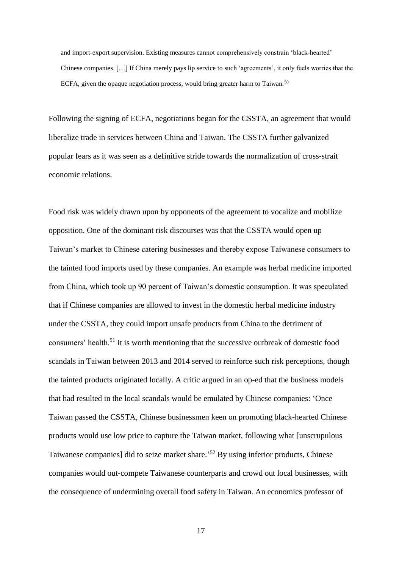and import-export supervision. Existing measures cannot comprehensively constrain 'black-hearted' Chinese companies. […] If China merely pays lip service to such 'agreements', it only fuels worries that the ECFA, given the opaque negotiation process, would bring greater harm to Taiwan.<sup>50</sup>

Following the signing of ECFA, negotiations began for the CSSTA, an agreement that would liberalize trade in services between China and Taiwan. The CSSTA further galvanized popular fears as it was seen as a definitive stride towards the normalization of cross-strait economic relations.

Food risk was widely drawn upon by opponents of the agreement to vocalize and mobilize opposition. One of the dominant risk discourses was that the CSSTA would open up Taiwan's market to Chinese catering businesses and thereby expose Taiwanese consumers to the tainted food imports used by these companies. An example was herbal medicine imported from China, which took up 90 percent of Taiwan's domestic consumption. It was speculated that if Chinese companies are allowed to invest in the domestic herbal medicine industry under the CSSTA, they could import unsafe products from China to the detriment of consumers' health.<sup>51</sup> It is worth mentioning that the successive outbreak of domestic food scandals in Taiwan between 2013 and 2014 served to reinforce such risk perceptions, though the tainted products originated locally. A critic argued in an op-ed that the business models that had resulted in the local scandals would be emulated by Chinese companies: 'Once Taiwan passed the CSSTA, Chinese businessmen keen on promoting black-hearted Chinese products would use low price to capture the Taiwan market, following what [unscrupulous Taiwanese companies] did to seize market share.' <sup>52</sup> By using inferior products, Chinese companies would out-compete Taiwanese counterparts and crowd out local businesses, with the consequence of undermining overall food safety in Taiwan. An economics professor of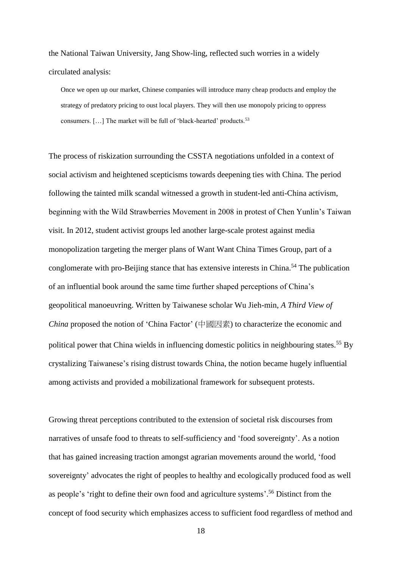the National Taiwan University, Jang Show-ling, reflected such worries in a widely circulated analysis:

Once we open up our market, Chinese companies will introduce many cheap products and employ the strategy of predatory pricing to oust local players. They will then use monopoly pricing to oppress consumers. [...] The market will be full of 'black-hearted' products.<sup>53</sup>

The process of riskization surrounding the CSSTA negotiations unfolded in a context of social activism and heightened scepticisms towards deepening ties with China. The period following the tainted milk scandal witnessed a growth in student-led anti-China activism, beginning with the Wild Strawberries Movement in 2008 in protest of Chen Yunlin's Taiwan visit. In 2012, student activist groups led another large-scale protest against media monopolization targeting the merger plans of Want Want China Times Group, part of a conglomerate with pro-Beijing stance that has extensive interests in China.<sup>54</sup> The publication of an influential book around the same time further shaped perceptions of China's geopolitical manoeuvring. Written by Taiwanese scholar Wu Jieh-min, *A Third View of China* proposed the notion of 'China Factor' (中國因素) to characterize the economic and political power that China wields in influencing domestic politics in neighbouring states.<sup>55</sup> By crystalizing Taiwanese's rising distrust towards China, the notion became hugely influential among activists and provided a mobilizational framework for subsequent protests.

Growing threat perceptions contributed to the extension of societal risk discourses from narratives of unsafe food to threats to self-sufficiency and 'food sovereignty'. As a notion that has gained increasing traction amongst agrarian movements around the world, 'food sovereignty' advocates the right of peoples to healthy and ecologically produced food as well as people's 'right to define their own food and agriculture systems'. <sup>56</sup> Distinct from the concept of food security which emphasizes access to sufficient food regardless of method and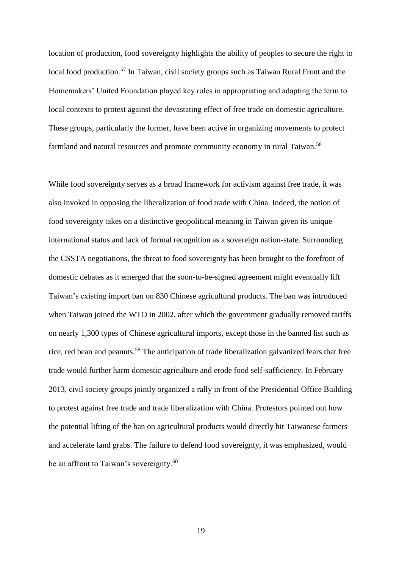location of production, food sovereignty highlights the ability of peoples to secure the right to local food production.<sup>57</sup> In Taiwan, civil society groups such as Taiwan Rural Front and the Homemakers' United Foundation played key roles in appropriating and adapting the term to local contexts to protest against the devastating effect of free trade on domestic agriculture. These groups, particularly the former, have been active in organizing movements to protect farmland and natural resources and promote community economy in rural Taiwan.<sup>58</sup>

While food sovereignty serves as a broad framework for activism against free trade, it was also invoked in opposing the liberalization of food trade with China. Indeed, the notion of food sovereignty takes on a distinctive geopolitical meaning in Taiwan given its unique international status and lack of formal recognition as a sovereign nation-state. Surrounding the CSSTA negotiations, the threat to food sovereignty has been brought to the forefront of domestic debates as it emerged that the soon-to-be-signed agreement might eventually lift Taiwan's existing import ban on 830 Chinese agricultural products. The ban was introduced when Taiwan joined the WTO in 2002, after which the government gradually removed tariffs on nearly 1,300 types of Chinese agricultural imports, except those in the banned list such as rice, red bean and peanuts.<sup>59</sup> The anticipation of trade liberalization galvanized fears that free trade would further harm domestic agriculture and erode food self-sufficiency. In February 2013, civil society groups jointly organized a rally in front of the Presidential Office Building to protest against free trade and trade liberalization with China. Protestors pointed out how the potential lifting of the ban on agricultural products would directly hit Taiwanese farmers and accelerate land grabs. The failure to defend food sovereignty, it was emphasized, would be an affront to Taiwan's sovereignty.<sup>60</sup>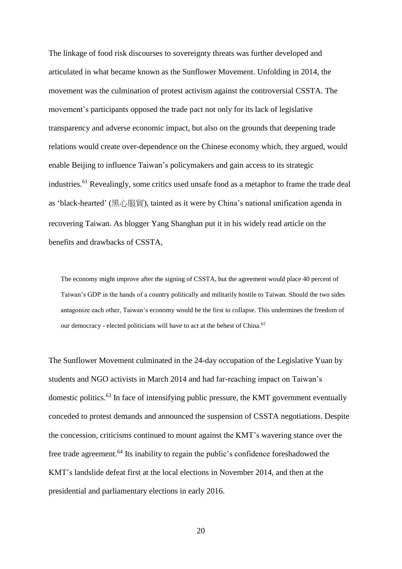The linkage of food risk discourses to sovereignty threats was further developed and articulated in what became known as the Sunflower Movement. Unfolding in 2014, the movement was the culmination of protest activism against the controversial CSSTA. The movement's participants opposed the trade pact not only for its lack of legislative transparency and adverse economic impact, but also on the grounds that deepening trade relations would create over-dependence on the Chinese economy which, they argued, would enable Beijing to influence Taiwan's policymakers and gain access to its strategic industries.<sup>61</sup> Revealingly, some critics used unsafe food as a metaphor to frame the trade deal as 'black-hearted' (黑心服貿), tainted as it were by China's national unification agenda in recovering Taiwan. As blogger Yang Shanghan put it in his widely read article on the benefits and drawbacks of CSSTA,

The economy might improve after the signing of CSSTA, but the agreement would place 40 percent of Taiwan's GDP in the hands of a country politically and militarily hostile to Taiwan. Should the two sides antagonize each other, Taiwan's economy would be the first to collapse. This undermines the freedom of our democracy - elected politicians will have to act at the behest of China.<sup>62</sup>

The Sunflower Movement culminated in the 24-day occupation of the Legislative Yuan by students and NGO activists in March 2014 and had far-reaching impact on Taiwan's domestic politics.<sup>63</sup> In face of intensifying public pressure, the KMT government eventually conceded to protest demands and announced the suspension of CSSTA negotiations. Despite the concession, criticisms continued to mount against the KMT's wavering stance over the free trade agreement.<sup>64</sup> Its inability to regain the public's confidence foreshadowed the KMT's landslide defeat first at the local elections in November 2014, and then at the presidential and parliamentary elections in early 2016.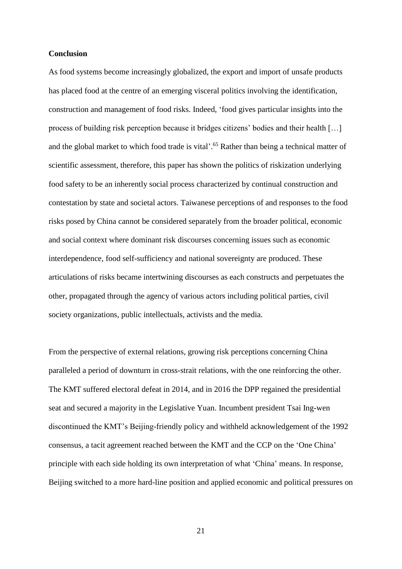# **Conclusion**

As food systems become increasingly globalized, the export and import of unsafe products has placed food at the centre of an emerging visceral politics involving the identification, construction and management of food risks. Indeed, 'food gives particular insights into the process of building risk perception because it bridges citizens' bodies and their health […] and the global market to which food trade is vital'.<sup>65</sup> Rather than being a technical matter of scientific assessment, therefore, this paper has shown the politics of riskization underlying food safety to be an inherently social process characterized by continual construction and contestation by state and societal actors. Taiwanese perceptions of and responses to the food risks posed by China cannot be considered separately from the broader political, economic and social context where dominant risk discourses concerning issues such as economic interdependence, food self-sufficiency and national sovereignty are produced. These articulations of risks became intertwining discourses as each constructs and perpetuates the other, propagated through the agency of various actors including political parties, civil society organizations, public intellectuals, activists and the media.

From the perspective of external relations, growing risk perceptions concerning China paralleled a period of downturn in cross-strait relations, with the one reinforcing the other. The KMT suffered electoral defeat in 2014, and in 2016 the DPP regained the presidential seat and secured a majority in the Legislative Yuan. Incumbent president Tsai Ing-wen discontinued the KMT's Beijing-friendly policy and withheld acknowledgement of the 1992 consensus, a tacit agreement reached between the KMT and the CCP on the 'One China' principle with each side holding its own interpretation of what 'China' means. In response, Beijing switched to a more hard-line position and applied economic and political pressures on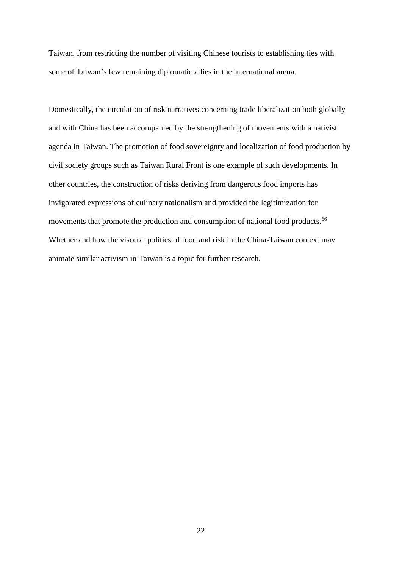Taiwan, from restricting the number of visiting Chinese tourists to establishing ties with some of Taiwan's few remaining diplomatic allies in the international arena.

Domestically, the circulation of risk narratives concerning trade liberalization both globally and with China has been accompanied by the strengthening of movements with a nativist agenda in Taiwan. The promotion of food sovereignty and localization of food production by civil society groups such as Taiwan Rural Front is one example of such developments. In other countries, the construction of risks deriving from dangerous food imports has invigorated expressions of culinary nationalism and provided the legitimization for movements that promote the production and consumption of national food products.<sup>66</sup> Whether and how the visceral politics of food and risk in the China-Taiwan context may animate similar activism in Taiwan is a topic for further research.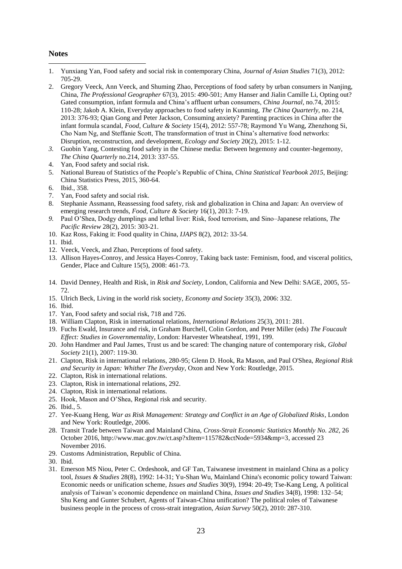#### **Notes**

- 1. Yunxiang Yan, Food safety and social risk in contemporary China, *Journal of Asian Studies* 71(3), 2012: 705-29.
- 2. Gregory Veeck, Ann Veeck, and Shuming Zhao, Perceptions of food safety by urban consumers in Nanjing, China, *The Professional Geographer* 67(3), 2015: 490-501; Amy Hanser and Jialin Camille Li, Opting out? Gated consumption, infant formula and China's affluent urban consumers, *China Journal,* no.74, 2015: 110-28; Jakob A. Klein, Everyday approaches to food safety in Kunming, *The China Quarterly,* no. 214, 2013: 376-93; Qian Gong and Peter Jackson, Consuming anxiety? Parenting practices in China after the infant formula scandal, *Food, Culture & Society* 15(4), 2012: 557-78; Raymond Yu Wang, Zhenzhong Si, Cho Nam Ng, and Steffanie Scott, The transformation of trust in China's alternative food networks: Disruption, reconstruction, and development, *Ecology and Society* 20(2), 2015: 1-12.
- *3.* Guobin Yang, Contesting food safety in the Chinese media: Between hegemony and counter-hegemony, *The China Quarterly* no.214, 2013: 337-55.
- 4. Yan, Food safety and social risk.
- 5. National Bureau of Statistics of the People's Republic of China, *China Statistical Yearbook 2015*, Beijing: China Statistics Press, 2015, 360-64.
- 6. Ibid., 358.
- 7. Yan, Food safety and social risk.
- 8. Stephanie Assmann, Reassessing food safety, risk and globalization in China and Japan: An overview of emerging research trends, *Food, Culture & Society* 16(1), 2013: 7-19.
- *9.* Paul O'Shea, Dodgy dumplings and lethal liver: Risk, food terrorism, and Sino–Japanese relations, *The Pacific Review* 28(2), 2015: 303-21.
- 10. Kaz Ross, Faking it: Food quality in China, *IJAPS* 8(2), 2012: 33-54.
- 11. Ibid.
- 12. Veeck, Veeck, and Zhao, Perceptions of food safety.
- 13. Allison Hayes-Conroy, and Jessica Hayes-Conroy, Taking back taste: Feminism, food, and visceral politics, Gender, Place and Culture 15(5), 2008: 461-73.
- 14. David Denney, Health and Risk, in *Risk and Society*, London, California and New Delhi: SAGE, 2005, 55- 72.
- 15. Ulrich Beck, Living in the world risk society, *Economy and Society* 35(3), 2006: 332.
- 16. Ibid.
- 17. Yan, Food safety and social risk, 718 and 726.
- 18. William Clapton, Risk in international relations, *International Relations* 25(3), 2011: 281.
- 19. Fuchs Ewald, Insurance and risk, in Graham Burchell, Colin Gordon, and Peter Miller (eds) *The Foucault Effect: Studies in Governmentality*, London: Harvester Wheatsheaf, 1991, 199.
- 20. John Handmer and Paul James, Trust us and be scared: The changing nature of contemporary risk, *Global Society* 21(1), 2007: 119-30.
- 21. Clapton, Risk in international relations, 280-95; Glenn D. Hook, Ra Mason, and Paul O'Shea, *Regional Risk and Security in Japan: Whither The Everyday*, Oxon and New York: Routledge, 2015.
- 22. Clapton, Risk in international relations.
- 23. Clapton, Risk in international relations, 292.
- 24. Clapton, Risk in international relations.
- 25. Hook, Mason and O'Shea, Regional risk and security.
- 26. Ibid., 5.
- 27. Yee-Kuang Heng, *War as Risk Management: Strategy and Conflict in an Age of Globalized Risks*, London and New York: Routledge, 2006.
- 28. Transit Trade between Taiwan and Mainland China, *Cross-Strait Economic Statistics Monthly No. 282,* 26 October 2016, http://www.mac.gov.tw/ct.asp?xItem=115782&ctNode=5934&mp=3, accessed 23 November 2016.
- 29. Customs Administration, Republic of China.
- 30. Ibid.
- 31. Emerson MS Niou, Peter C. Ordeshook, and GF Tan, Taiwanese investment in mainland China as a policy tool, *Issues & Studies* 28(8), 1992: 14-31; Yu-Shan Wu, Mainland China's economic policy toward Taiwan: Economic needs or unification scheme, *Issues and Studies* 30(9), 1994: 20-49; Tse-Kang Leng, A political analysis of Taiwan's economic dependence on mainland China, *Issues and Studies* 34(8), 1998: 132–54; Shu Keng and Gunter Schubert, Agents of Taiwan-China unification? The political roles of Taiwanese business people in the process of cross-strait integration, *Asian Survey* 50(2), 2010: 287-310.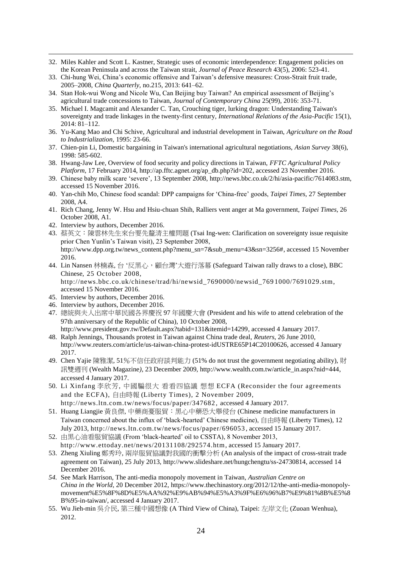- 32. Miles Kahler and Scott L. Kastner, Strategic uses of economic interdependence: Engagement policies on the Korean Peninsula and across the Taiwan strait, *Journal of Peace Research* 43(5), 2006: 523-41.
- 33. Chi-hung Wei, China's economic offensive and Taiwan's defensive measures: Cross-Strait fruit trade, 2005–2008, *China Quarterly,* no.215, 2013: 641–62.
- 34. Stan Hok-wui Wong and Nicole Wu, Can Beijing buy Taiwan? An empirical assessment of Beijing's agricultural trade concessions to Taiwan, *Journal of Contemporary China* 25(99), 2016: 353-71.
- 35. Michael I. Magcamit and Alexander C. Tan, Crouching tiger, lurking dragon: Understanding Taiwan's sovereignty and trade linkages in the twenty-first century, *International Relations of the Asia-Pacific* 15(1), 2014: 81–112.
- 36. Yu-Kang Mao and Chi Schive, Agricultural and industrial development in Taiwan, *Agriculture on the Road to Industrialization*, 1995: 23-66.
- 37. Chien-pin Li, Domestic bargaining in Taiwan's international agricultural negotiations, *Asian Survey* 38(6), 1998: 585-602.
- 38. Hwang-Jaw Lee, Overview of food security and policy directions in Taiwan, *FFTC Agricultural Policy Platform,* 17 February 2014, http://ap.fftc.agnet.org/ap\_db.php?id=202, accessed 23 November 2016.
- 39. Chinese baby milk scare 'severe'*,* 13 September 2008, http://news.bbc.co.uk/2/hi/asia-pacific/7614083.stm, accessed 15 November 2016.
- 40. Yan-chih Mo, Chinese food scandal: DPP campaigns for 'China-free' goods, *Taipei Times*, 27 September 2008, A4.
- 41. Rich Chang, Jenny W. Hsu and Hsiu-chuan Shih, Ralliers vent anger at Ma government, *Taipei Times,* 26 October 2008, A1.
- 42. Interview by authors, December 2016.

- 43. 蔡英文:陳雲林先生來台要先釐清主權問題 (Tsai Ing-wen: Clarification on sovereignty issue requisite prior Chen Yunlin's Taiwan visit), 23 September 2008, http://www.dpp.org.tw/news\_content.php?menu\_sn=7&sub\_menu=43&sn=3256#, accessed 15 November 2016.
- 44. Lin Nansen 林楠森, 台'反黑心, 顧台灣'大遊行落幕 (Safeguard Taiwan rally draws to a close), BBC Chinese, 25 October 2008, http://news.bbc.co.uk/chinese/trad/hi/newsid\_7690000/newsid\_769 1000/7691029.stm, accessed 15 November 2016.
- 45. Interview by authors, December 2016.
- 46. Interview by authors, December 2016.
- 47. 總統與夫人出席中華民國各界慶祝 97 年國慶大會 (President and his wife to attend celebration of the 97th anniversary of the Republic of China), 10 October 2008,
- http://www.president.gov.tw/Default.aspx?tabid=131&itemid=14299, accessed 4 January 2017. 48. Ralph Jennings, Thousands protest in Taiwan against China trade deal, *Reuters*, 26 June 2010,
- http://www.reuters.com/article/us-taiwan-china-protest-idUSTRE65P14C20100626, accessed 4 January 2017.
- 49. Chen Yajie 陳雅潔, 51%不信任政府談判能力 (51% do not trust the government negotiating ability), 財 訊雙週刊 (Wealth Magazine*)*, 23 December 2009, http://www.wealth.com.tw/article\_in.aspx?nid=444, accessed 4 January 2017.
- 50. Li Xinfang 李欣芳, 中國騙很大 看看四協議 想想 ECFA (Reconsider the four agreements and the ECFA), 自由時報 (Liberty Times), 2 November 2009, http://news.ltn.com.tw/news/focus/paper/347682 , accessed 4 January 2017.
- 51. Huang Liangjie 黃良傑, 中藥商憂服貿:黑心中藥恐大舉侵台 (Chinese medicine manufacturers in Taiwan concerned about the influx of 'black-hearted' Chinese medicine), 自由時報 (Liberty Times), 12 July 2013, http://news.ltn.com.tw/news/focus/paper/696053 , accessed 15 January 2017.
- 52. 由黑心油看服貿協議 (From 'black-hearted' oil to CSSTA), 8 November 2013, http://www.ettoday.net/news/20131108/292574.htm, accessed 15 January 2017.
- 53. Zheng Xiuling 鄭秀玲, 兩岸服貿協議對我國的衝擊分析 (An analysis of the impact of cross-strait trade agreement on Taiwan), 25 July 2013, http://www.slideshare.net/hungchengtu/ss-24730814, accessed 14 December 2016.
- *54.* See Mark Harrison, The anti-media monopoly movement in Taiwan, *Australian Centre on China in the World*, 20 December 2012, https://www.thechinastory.org/2012/12/the-anti-media-monopolymovement%E5%8F%8D%E5%AA%92%E9%AB%94%E5%A3%9F%E6%96%B7%E9%81%8B%E5%8 B%95-in-taiwan/, accessed 4 January 2017.
- 55. Wu Jieh-min 吳介民, 第三種中國想像 (A Third View of China), Taipei: 左岸文化 (Zuoan Wenhua), 2012.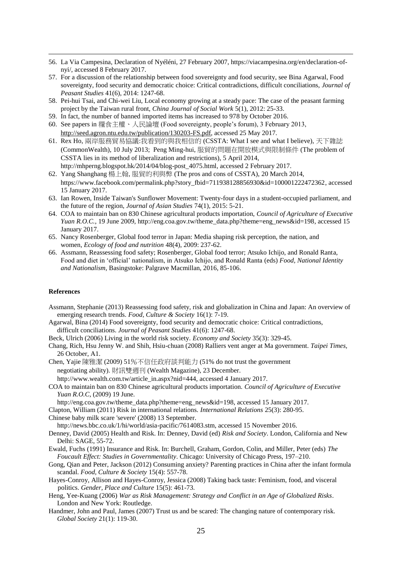- 56. La Via Campesina*,* Declaration of Nyéléni, 27 February 2007, https://viacampesina.org/en/declaration-ofnyi/, accessed 8 February 2017.
- 57. For a discussion of the relationship between food sovereignty and food security, see Bina Agarwal, Food sovereignty, food security and democratic choice: Critical contradictions, difficult conciliations, *Journal of Peasant Studies* 41(6), 2014: 1247-68.
- 58. Pei-hui Tsai, and Chi-wei Liu, Local economy growing at a steady pace: The case of the peasant farming project by the Taiwan rural front, *China Journal of Social Work* 5(1), 2012: 25-33.
- 59. In fact, the number of banned imported items has increased to 978 by October 2016.
- 60. See papers in 糧食主權、人民論壇 (Food sovereignty, people's forum), 3 February 2013, [http://seed.agron.ntu.edu.tw/publication/130203-FS.pdf,](http://seed.agron.ntu.edu.tw/publication/130203-FS.pdf) accessed 25 May 2017.
- 61. Rex Ho, 兩岸服務貿易協議:我看到的與我相信的 (CSSTA: What I see and what I believe), 天下雜誌 (CommonWealth), 10 July 2013; Peng Ming-hui, 服貿的問題在開放模式與限制條件 (The problem of CSSTA lies in its method of liberalization and restrictions), 5 April 2014, http://mhperng.blogspot.hk/2014/04/blog-post\_4075.html, accessed 2 February 2017.
- 62. Yang Shanghang 楊上翰, 服貿的利與弊 (The pros and cons of CSSTA), 20 March 2014, https://www.facebook.com/permalink.php?story\_fbid=711938128856930&id=100001222472362, accessed 15 January 2017.
- 63. Ian Rowen, Inside Taiwan's Sunflower Movement: Twenty-four days in a student-occupied parliament, and the future of the region, *Journal of Asian Studies* 74(1), 2015: 5-21.
- 64. COA to maintain ban on 830 Chinese agricultural products importation, *Council of Agriculture of Executive Yuan R.O.C.*, 19 June 2009, http://eng.coa.gov.tw/theme\_data.php?theme=eng\_news&id=198, accessed 15 January 2017.
- 65. Nancy Rosenberger, Global food terror in Japan: Media shaping risk perception, the nation, and women, *Ecology of food and nutrition* 48(4), 2009: 237-62.
- 66. Assmann, Reassessing food safety; Rosenberger, Global food terror; Atsuko Ichijo, and Ronald Ranta, Food and diet in 'official' nationalism, in Atsuko Ichijo, and Ronald Ranta (eds) *Food, National Identity and Nationalism*, Basingstoke: Palgrave Macmillan, 2016, 85-106.

#### **References**

- Assmann, Stephanie (2013) Reassessing food safety, risk and globalization in China and Japan: An overview of emerging research trends. *Food, Culture & Society* 16(1): 7-19.
- Agarwal, Bina (2014) Food sovereignty, food security and democratic choice: Critical contradictions, difficult conciliations. *Journal of Peasant Studies* 41(6): 1247-68.
- Beck, Ulrich (2006) Living in the world risk society. *Economy and Society* 35(3): 329-45.
- Chang, Rich, Hsu Jenny W. and Shih, Hsiu-chuan (2008) Ralliers vent anger at Ma government. *Taipei Times,*  26 October, A1.
- Chen, Yajie 陳雅潔 (2009) 51%不信任政府談判能力 (51% do not trust the government negotiating ability). 財訊雙週刊 (Wealth Magazine), 23 December.
	- http://www.wealth.com.tw/article\_in.aspx?nid=444, accessed 4 January 2017.
- COA to maintain ban on 830 Chinese agricultural products importation. *Council of Agriculture of Executive Yuan R.O.C*, (2009) 19 June.
- http://eng.coa.gov.tw/theme\_data.php?theme=eng\_news&id=198, accessed 15 January 2017.
- Clapton, William (2011) Risk in international relations. *International Relations* 25(3): 280-95.
- Chinese baby milk scare 'severe' (2008) 13 September.
- http://news.bbc.co.uk/1/hi/world/asia-pacific/7614083.stm, accessed 15 November 2016.
- Denney, David (2005) Health and Risk. In: Denney, David (ed) *Risk and Society*. London, California and New Delhi: SAGE, 55-72.
- Ewald, Fuchs (1991) Insurance and Risk. In: Burchell, Graham, Gordon, Colin, and Miller, Peter (eds) *The Foucault Effect: Studies in Governmentality*. Chicago: University of Chicago Press, 197–210.
- Gong, Qian and Peter, Jackson (2012) Consuming anxiety? Parenting practices in China after the infant formula scandal. *Food, Culture & Society* 15(4): 557-78.
- Hayes-Conroy, Allison and Hayes-Conroy, Jessica (2008) Taking back taste: Feminism, food, and visceral politics. *Gender, Place and Culture* 15(5): 461-73.
- Heng, Yee-Kuang (2006) *War as Risk Management: Strategy and Conflict in an Age of Globalized Risks*. London and New York: Routledge.
- Handmer, John and Paul, James (2007) Trust us and be scared: The changing nature of contemporary risk. *Global Society* 21(1): 119-30.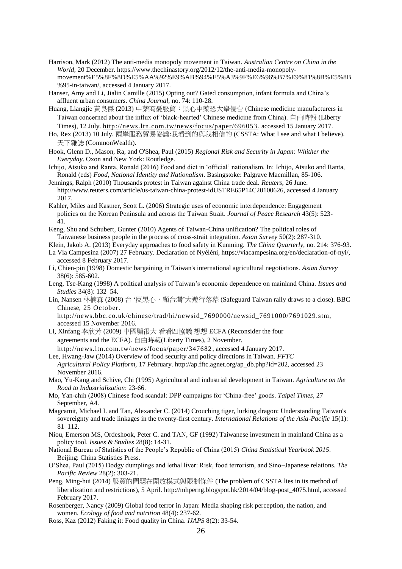- Harrison, Mark (2012) The anti-media monopoly movement in Taiwan. *Australian Centre on China in the World*, 20 December. https://www.thechinastory.org/2012/12/the-anti-media-monopolymovement%E5%8F%8D%E5%AA%92%E9%AB%94%E5%A3%9F%E6%96%B7%E9%81%8B%E5%8B %95-in-taiwan/, accessed 4 January 2017.
- Hanser, Amy and Li, Jialin Camille (2015) Opting out? Gated consumption, infant formula and China's affluent urban consumers. *China Journal,* no. 74: 110-28.

- Huang, Liangjie 黃良傑 (2013) 中藥商憂服貿:黑心中藥恐大舉侵台 (Chinese medicine manufacturers in Taiwan concerned about the influx of 'black-hearted' Chinese medicine from China). 自由時報 (Liberty Times), 12 July.<http://news.ltn.com.tw/news/focus/paper/696053> , accessed 15 January 2017.
- Ho, Rex (2013) 10 July. 兩岸服務貿易協議:我看到的與我相信的 (CSSTA: What I see and what I believe). 天下雜誌 (CommonWealth).
- Hook, Glenn D., Mason, Ra, and O'Shea, Paul (2015) *Regional Risk and Security in Japan: Whither the Everyday*. Oxon and New York: Routledge.
- Ichijo, Atsuko and Ranta, Ronald (2016) Food and diet in 'official' nationalism. In: Ichijo, Atsuko and Ranta, Ronald (eds) *Food, National Identity and Nationalism*. Basingstoke: Palgrave Macmillan, 85-106.
- Jennings, Ralph (2010) Thousands protest in Taiwan against China trade deal. *Reuters*, 26 June. http://www.reuters.com/article/us-taiwan-china-protest-idUSTRE65P14C20100626, accessed 4 January 2017.
- Kahler, Miles and Kastner, Scott L. (2006) Strategic uses of economic interdependence: Engagement policies on the Korean Peninsula and across the Taiwan Strait. *Journal of Peace Research* 43(5): 523- 41.
- Keng, Shu and Schubert, Gunter (2010) Agents of Taiwan-China unification? The political roles of Taiwanese business people in the process of cross-strait integration. *Asian Survey* 50(2): 287-310.
- Klein, Jakob A. (2013) Everyday approaches to food safety in Kunming. *The China Quarterly,* no. 214: 376-93.
- La Via Campesina (2007) 27 February. Declaration of Nyéléni, https://viacampesina.org/en/declaration-of-nyi/, accessed 8 February 2017.
- Li, Chien-pin (1998) Domestic bargaining in Taiwan's international agricultural negotiations. *Asian Survey* 38(6): 585-602.
- Leng, Tse-Kang (1998) A political analysis of Taiwan's economic dependence on mainland China. *Issues and Studies* 34(8): 132–54.
- Lin, Nansen 林楠森 (2008) 台 '反黑心,顧台灣'大遊行落幕 (Safeguard Taiwan rally draws to a close). BBC Chinese, 25 October.
	- http://news.bbc.co.uk/chinese/trad/hi/newsid\_7690000/newsid\_7691000/7691029.stm, accessed 15 November 2016.
- Li, Xinfang 李欣芳 (2009) 中國騙很大 看看四協議 想想 ECFA (Reconsider the four agreements and the ECFA). 自由時報(Liberty Times), 2 November. http://news.ltn.com.tw/news/focus/paper/347682 , accessed 4 January 2017.
- Lee, Hwang-Jaw (2014) Overview of food security and policy directions in Taiwan. *FFTC Agricultural Policy Platform,* 17 February. http://ap.fftc.agnet.org/ap\_db.php?id=202, accessed 23 November 2016.
- Mao, Yu-Kang and Schive, Chi (1995) Agricultural and industrial development in Taiwan. *Agriculture on the Road to Industrialization*: 23-66.
- Mo, Yan-chih (2008) Chinese food scandal: DPP campaigns for 'China-free' goods. *Taipei Times*, 27 September, A4.
- Magcamit, Michael I. and Tan, Alexander C. (2014) Crouching tiger, lurking dragon: Understanding Taiwan's sovereignty and trade linkages in the twenty-first century. *International Relations of the Asia-Pacific* 15(1): 81–112.
- Niou, Emerson MS, Ordeshook, Peter C. and TAN, GF (1992) Taiwanese investment in mainland China as a policy tool. *Issues & Studies* 28(8): 14-31.
- National Bureau of Statistics of the People's Republic of China (2015) *China Statistical Yearbook 2015*. Beijing: China Statistics Press.
- O'Shea, Paul (2015) Dodgy dumplings and lethal liver: Risk, food terrorism, and Sino–Japanese relations. *The Pacific Review* 28(2): 303-21.
- Peng, Ming-hui (2014) 服貿的問題在開放模式與限制條件 (The problem of CSSTA lies in its method of liberalization and restrictions), 5 April. http://mhperng.blogspot.hk/2014/04/blog-post\_4075.html, accessed February 2017.
- Rosenberger, Nancy (2009) Global food terror in Japan: Media shaping risk perception, the nation, and women. *Ecology of food and nutrition* 48(4): 237-62.
- Ross, Kaz (2012) Faking it: Food quality in China. *IJAPS* 8(2): 33-54.